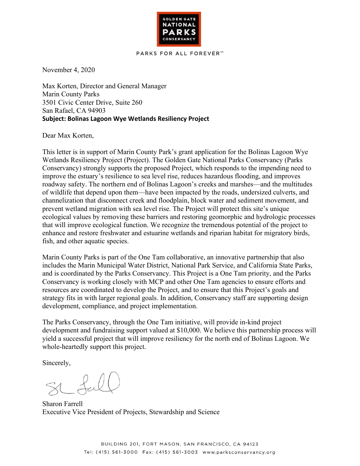

## **PARKS FOR ALL FOREVER™**

November 4, 2020

Max Korten, Director and General Manager Marin County Parks 3501 Civic Center Drive, Suite 260 San Rafael, CA 94903 **Subject: Bolinas Lagoon Wye Wetlands Resiliency Project**

Dear Max Korten,

This letter is in support of Marin County Park's grant application for the Bolinas Lagoon Wye Wetlands Resiliency Project (Project). The Golden Gate National Parks Conservancy (Parks Conservancy) strongly supports the proposed Project, which responds to the impending need to improve the estuary's resilience to sea level rise, reduces hazardous flooding, and improves roadway safety. The northern end of Bolinas Lagoon's creeks and marshes—and the multitudes of wildlife that depend upon them—have been impacted by the roads, undersized culverts, and channelization that disconnect creek and floodplain, block water and sediment movement, and prevent wetland migration with sea level rise. The Project will protect this site's unique ecological values by removing these barriers and restoring geomorphic and hydrologic processes that will improve ecological function. We recognize the tremendous potential of the project to enhance and restore freshwater and estuarine wetlands and riparian habitat for migratory birds, fish, and other aquatic species.

Marin County Parks is part of the One Tam collaborative, an innovative partnership that also includes the Marin Municipal Water District, National Park Service, and California State Parks, and is coordinated by the Parks Conservancy. This Project is a One Tam priority, and the Parks Conservancy is working closely with MCP and other One Tam agencies to ensure efforts and resources are coordinated to develop the Project, and to ensure that this Project's goals and strategy fits in with larger regional goals. In addition, Conservancy staff are supporting design development, compliance, and project implementation.

The Parks Conservancy, through the One Tam initiative, will provide in-kind project development and fundraising support valued at \$10,000. We believe this partnership process will yield a successful project that will improve resiliency for the north end of Bolinas Lagoon. We whole-heartedly support this project.

Sincerely,

St fal

Sharon Farrell Executive Vice President of Projects, Stewardship and Science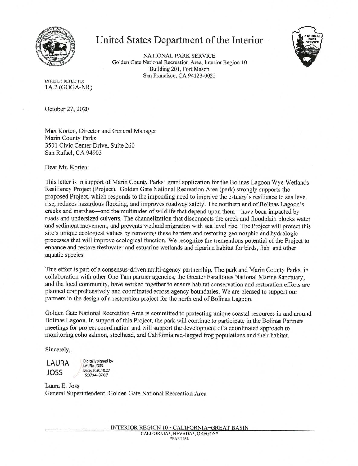

## United States Department of the Interior

NATIONAL PARK SERVICE Golden Gate National Recreation Area, Interior Region 10 Building 201, Fort Mason San Francisco, CA 94123-0022

IN REPLY REFER TO: 1A.2 (GOGA-NR)

October 27, 2020

Max Korten, Director and General Manager Marin County Parks 3501 Civic Center Drive, Suite 260 San Rafael, CA 94903

Dear Mr. Korten:

This letter is in support of Marin County Parks' grant application for the Bolinas Lagoon Wye Wetlands Resiliency Project (Project). Golden Gate National Recreation Area (park) strongly supports the proposed Project, which responds to the impending need to improve the estuary's resilience to sea level rise, reduces hazardous flooding, and improves roadway safety. The northern end of Bolinas Lagoon's creeks and marshes—and the multitudes of wildlife that depend upon them—have been impacted by roads and undersized culverts. The channelization that disconnects the creek and floodplain blocks water and sediment movement, and prevents wetland migration with sea level rise. The Project will protect this site's unique ecological values by removing these barriers and restoring geomorphic and hydrologic processes that will improve ecological function. We recognize the tremendous potential of the Project to enhance and restore freshwater and estuarine wetlands and riparian habitat for birds, fish, and other aquatic species.

This effort is part of a consensus-driven multi-agency partnership. The park and Marin County Parks, in collaboration with other One Tam partner agencies, the Greater Farallones National Marine Sanctuary, and the local community, have worked together to ensure habitat conservation and restoration efforts are planned comprehensively and coordinated across agency boundaries. We are pleased to support our partners in the design of a restoration project for the north end of Bolinas Lagoon.

Golden Gate National Recreation Area is committed to protecting unique coastal resources in and around Bolinas Lagoon. In support of this Project, the park will continue to participate in the Bolinas Partners meetings for project coordination and will support the development of a coordinated approach to monitoring coho salmon, steelhead, and California red-legged frog populations and their habitat.

Sincerely,

LAURA JOSS

Digitally signed by **LAURA JOSS** Date: 2020.10.27 15:07:44 -07'00

Laura E. Joss General Superintendent, Golden Gate National Recreation Area